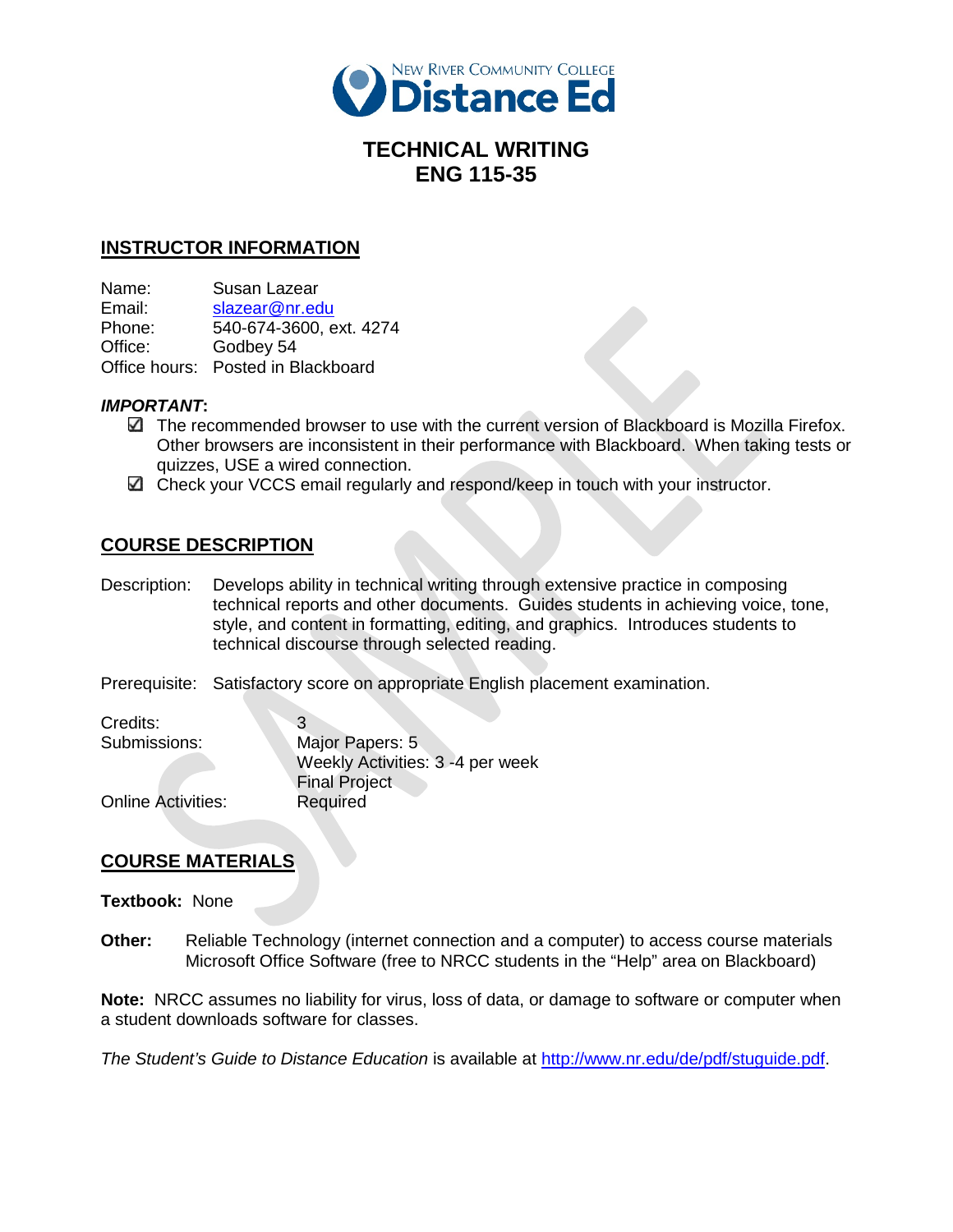

# **TECHNICAL WRITING ENG 115-35**

## **INSTRUCTOR INFORMATION**

Name: Susan Lazear

Email: [slazear@nr.edu](mailto:slazear@nr.edu) Phone: 540-674-3600, ext. 4274 Office: Godbey 54 Office hours: Posted in Blackboard

### *IMPORTANT***:**

- The recommended browser to use with the current version of Blackboard is Mozilla Firefox. Other browsers are inconsistent in their performance with Blackboard. When taking tests or quizzes, USE a wired connection.
- Check your VCCS email regularly and respond/keep in touch with your instructor.

# **COURSE DESCRIPTION**

Description: Develops ability in technical writing through extensive practice in composing technical reports and other documents. Guides students in achieving voice, tone, style, and content in formatting, editing, and graphics. Introduces students to technical discourse through selected reading.

Prerequisite: Satisfactory score on appropriate English placement examination.

Credits: 3

Submissions: Major Papers: 5 Weekly Activities: 3 -4 per week Final Project

Online Activities: Required

## **COURSE MATERIALS**

### **Textbook:** None

**Other:** Reliable Technology (internet connection and a computer) to access course materials Microsoft Office Software (free to NRCC students in the "Help" area on Blackboard)

**Note:** NRCC assumes no liability for virus, loss of data, or damage to software or computer when a student downloads software for classes.

*The Student's Guide to Distance Education* is available at [http://www.nr.edu/de/pdf/stuguide.pdf.](http://www.nr.edu/de/pdf/stuguide.pdf)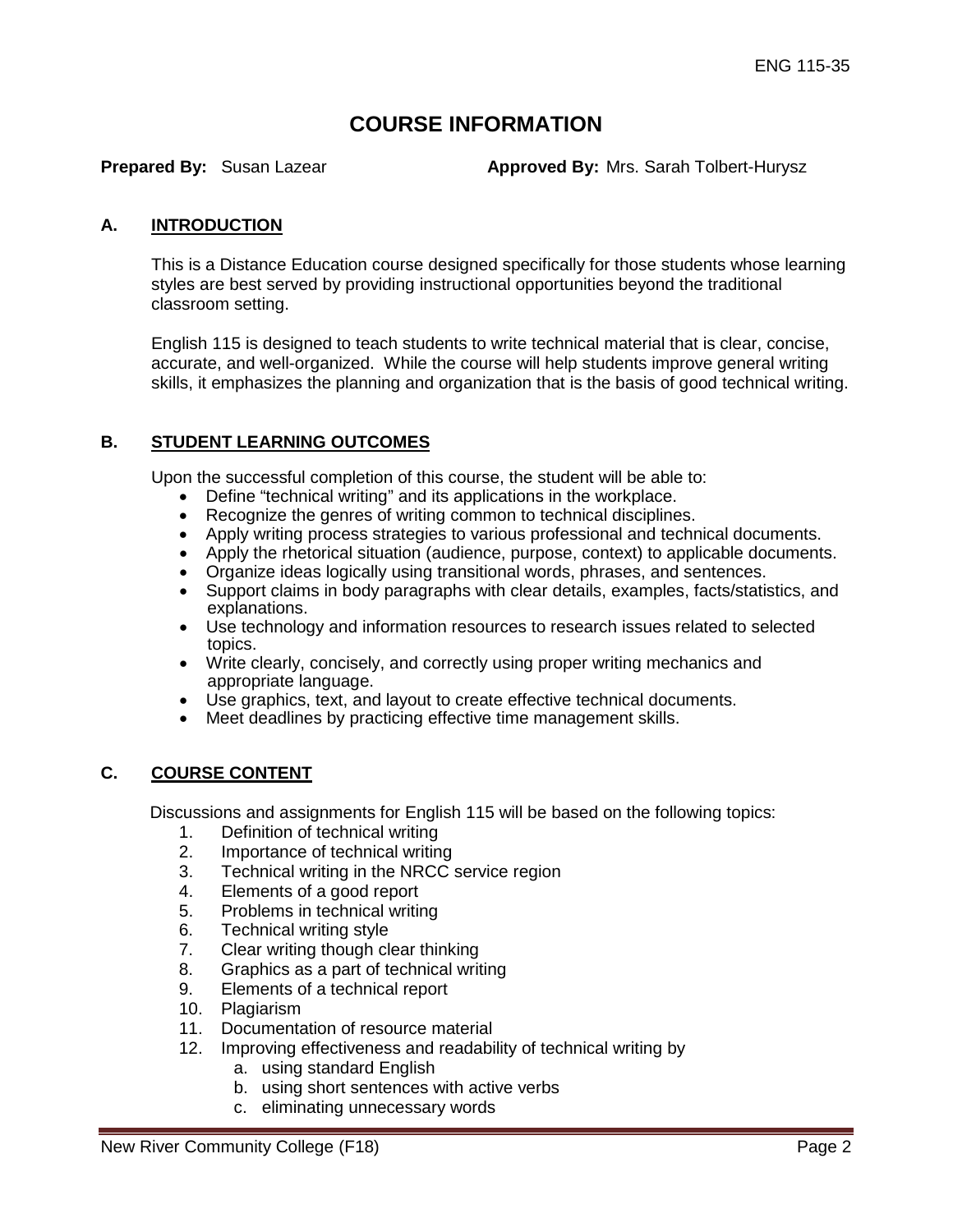# **COURSE INFORMATION**

**Prepared By:** Susan Lazear **Approved By:** Mrs. Sarah Tolbert-Hurysz

### **A. INTRODUCTION**

This is a Distance Education course designed specifically for those students whose learning styles are best served by providing instructional opportunities beyond the traditional classroom setting.

English 115 is designed to teach students to write technical material that is clear, concise, accurate, and well-organized. While the course will help students improve general writing skills, it emphasizes the planning and organization that is the basis of good technical writing.

### **B. STUDENT LEARNING OUTCOMES**

Upon the successful completion of this course, the student will be able to:

- Define "technical writing" and its applications in the workplace.
- Recognize the genres of writing common to technical disciplines.
- Apply writing process strategies to various professional and technical documents.
- Apply the rhetorical situation (audience, purpose, context) to applicable documents.
- Organize ideas logically using transitional words, phrases, and sentences.
- Support claims in body paragraphs with clear details, examples, facts/statistics, and explanations.
- Use technology and information resources to research issues related to selected topics.
- Write clearly, concisely, and correctly using proper writing mechanics and appropriate language.
- Use graphics, text, and layout to create effective technical documents.
- Meet deadlines by practicing effective time management skills.

### **C. COURSE CONTENT**

Discussions and assignments for English 115 will be based on the following topics:

- 1. Definition of technical writing
- 2. Importance of technical writing
- 3. Technical writing in the NRCC service region
- 4. Elements of a good report
- 5. Problems in technical writing
- 6. Technical writing style
- 7. Clear writing though clear thinking
- 8. Graphics as a part of technical writing
- 9. Elements of a technical report
- 10. Plagiarism
- 11. Documentation of resource material
- 12. Improving effectiveness and readability of technical writing by
	- a. using standard English
	- b. using short sentences with active verbs
	- c. eliminating unnecessary words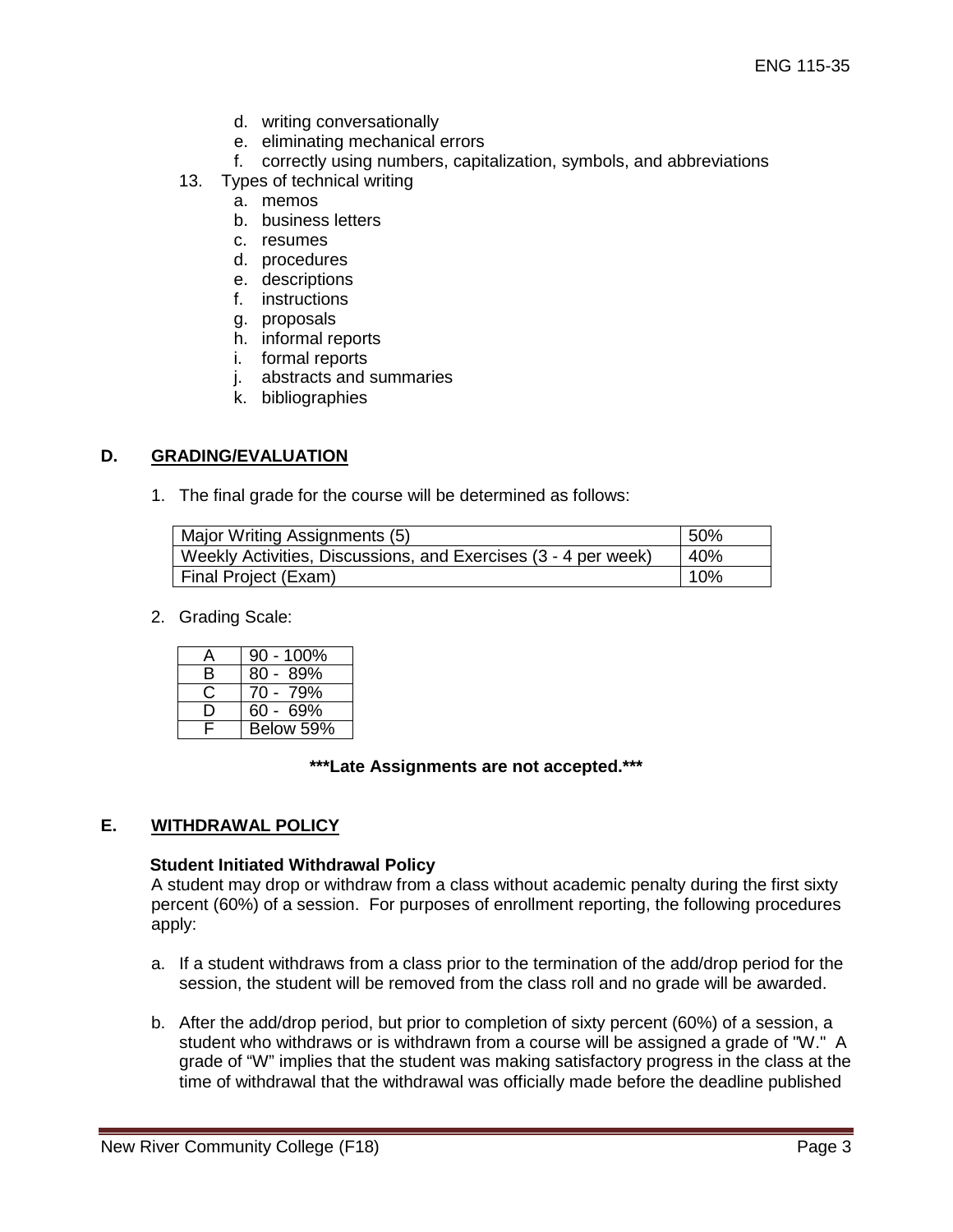- d. writing conversationally
- e. eliminating mechanical errors
- f. correctly using numbers, capitalization, symbols, and abbreviations
- 13. Types of technical writing
	- a. memos
	- b. business letters
	- c. resumes
	- d. procedures
	- e. descriptions
	- f. instructions
	- g. proposals
	- h. informal reports
	- i. formal reports
	- j. abstracts and summaries
	- k. bibliographies

# **D. GRADING/EVALUATION**

1. The final grade for the course will be determined as follows:

| Major Writing Assignments (5)                                  | 50% |
|----------------------------------------------------------------|-----|
| Weekly Activities, Discussions, and Exercises (3 - 4 per week) | 40% |
| Final Project (Exam)                                           | 10% |

2. Grading Scale:

| Δ  | $90 - 100\%$ |
|----|--------------|
| B. | $80 - 89%$   |
|    | $70 - 79%$   |
|    | $60 - 69%$   |
| E. | Below 59%    |

### **\*\*\*Late Assignments are not accepted.\*\*\***

## **E. WITHDRAWAL POLICY**

### **Student Initiated Withdrawal Policy**

A student may drop or withdraw from a class without academic penalty during the first sixty percent (60%) of a session. For purposes of enrollment reporting, the following procedures apply:

- a. If a student withdraws from a class prior to the termination of the add/drop period for the session, the student will be removed from the class roll and no grade will be awarded.
- b. After the add/drop period, but prior to completion of sixty percent (60%) of a session, a student who withdraws or is withdrawn from a course will be assigned a grade of "W." A grade of "W" implies that the student was making satisfactory progress in the class at the time of withdrawal that the withdrawal was officially made before the deadline published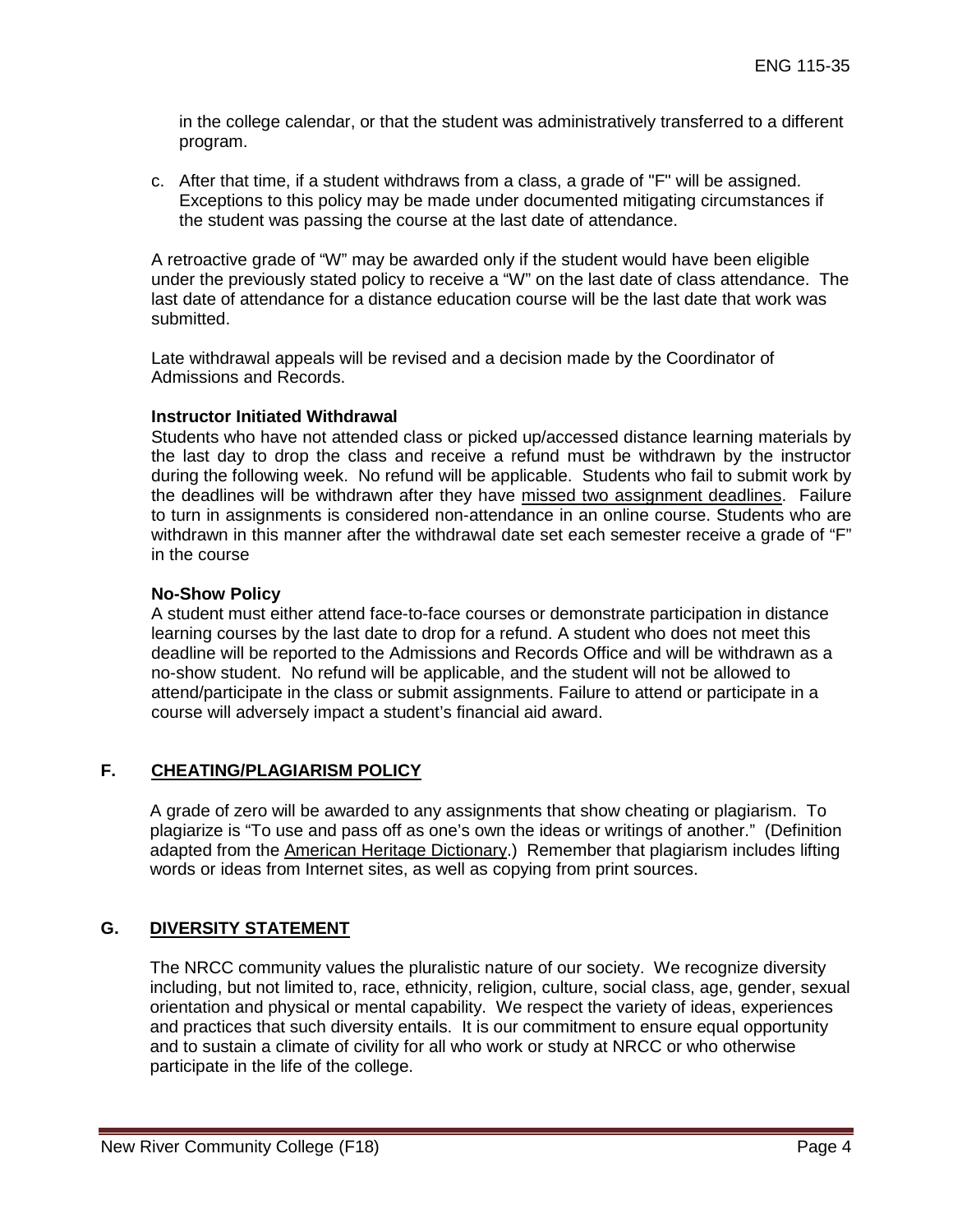in the college calendar, or that the student was administratively transferred to a different program.

c. After that time, if a student withdraws from a class, a grade of "F" will be assigned. Exceptions to this policy may be made under documented mitigating circumstances if the student was passing the course at the last date of attendance.

A retroactive grade of "W" may be awarded only if the student would have been eligible under the previously stated policy to receive a "W" on the last date of class attendance. The last date of attendance for a distance education course will be the last date that work was submitted.

Late withdrawal appeals will be revised and a decision made by the Coordinator of Admissions and Records.

### **Instructor Initiated Withdrawal**

Students who have not attended class or picked up/accessed distance learning materials by the last day to drop the class and receive a refund must be withdrawn by the instructor during the following week. No refund will be applicable. Students who fail to submit work by the deadlines will be withdrawn after they have missed two assignment deadlines. Failure to turn in assignments is considered non-attendance in an online course. Students who are withdrawn in this manner after the withdrawal date set each semester receive a grade of "F" in the course

#### **No-Show Policy**

A student must either attend face-to-face courses or demonstrate participation in distance learning courses by the last date to drop for a refund. A student who does not meet this deadline will be reported to the Admissions and Records Office and will be withdrawn as a no-show student. No refund will be applicable, and the student will not be allowed to attend/participate in the class or submit assignments. Failure to attend or participate in a course will adversely impact a student's financial aid award.

### **F. CHEATING/PLAGIARISM POLICY**

A grade of zero will be awarded to any assignments that show cheating or plagiarism. To plagiarize is "To use and pass off as one's own the ideas or writings of another." (Definition adapted from the American Heritage Dictionary.) Remember that plagiarism includes lifting words or ideas from Internet sites, as well as copying from print sources.

## **G. DIVERSITY STATEMENT**

The NRCC community values the pluralistic nature of our society. We recognize diversity including, but not limited to, race, ethnicity, religion, culture, social class, age, gender, sexual orientation and physical or mental capability. We respect the variety of ideas, experiences and practices that such diversity entails. It is our commitment to ensure equal opportunity and to sustain a climate of civility for all who work or study at NRCC or who otherwise participate in the life of the college.